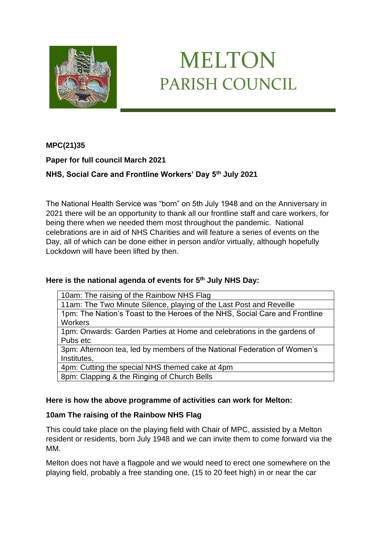

# MELTON PARISH COUNCIL

# **MPC(21)35**

# **Paper for full council March 2021**

# **NHS, Social Care and Frontline Workers' Day 5th July 2021**

The National Health Service was "born" on 5th July 1948 and on the Anniversary in 2021 there will be an opportunity to thank all our frontline staff and care workers, for being there when we needed them most throughout the pandemic. National celebrations are in aid of NHS Charities and will feature a series of events on the Day, all of which can be done either in person and/or virtually, although hopefully Lockdown will have been lifted by then.

#### **Here is the national agenda of events for 5th July NHS Day:**

10am: The raising of the Rainbow NHS Flag

11am: The Two Minute Silence, playing of the Last Post and Reveille 1pm: The Nation's Toast to the Heroes of the NHS, Social Care and Frontline **Workers** 

1pm: Onwards: Garden Parties at Home and celebrations in the gardens of Pubs etc

3pm: Afternoon tea, led by members of the National Federation of Women's Institutes,

4pm: Cutting the special NHS themed cake at 4pm

8pm: Clapping & the Ringing of Church Bells

#### **Here is how the above programme of activities can work for Melton:**

#### **10am The raising of the Rainbow NHS Flag**

This could take place on the playing field with Chair of MPC, assisted by a Melton resident or residents, born July 1948 and we can invite them to come forward via the MM.

Melton does not have a flagpole and we would need to erect one somewhere on the playing field, probably a free standing one, (15 to 20 feet high) in or near the car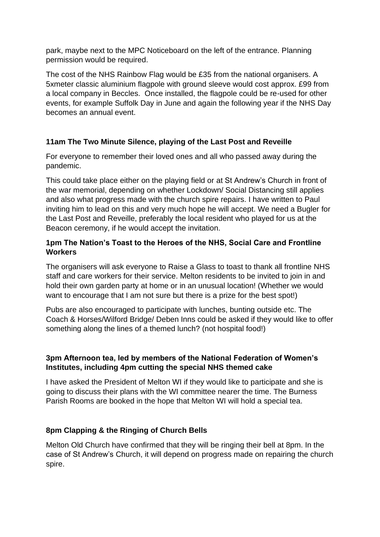park, maybe next to the MPC Noticeboard on the left of the entrance. Planning permission would be required.

The cost of the NHS Rainbow Flag would be £35 from the national organisers. A 5xmeter classic aluminium flagpole with ground sleeve would cost approx. £99 from a local company in Beccles. Once installed, the flagpole could be re-used for other events, for example Suffolk Day in June and again the following year if the NHS Day becomes an annual event.

# **11am The Two Minute Silence, playing of the Last Post and Reveille**

For everyone to remember their loved ones and all who passed away during the pandemic.

This could take place either on the playing field or at St Andrew's Church in front of the war memorial, depending on whether Lockdown/ Social Distancing still applies and also what progress made with the church spire repairs. I have written to Paul inviting him to lead on this and very much hope he will accept. We need a Bugler for the Last Post and Reveille, preferably the local resident who played for us at the Beacon ceremony, if he would accept the invitation.

# **1pm The Nation's Toast to the Heroes of the NHS, Social Care and Frontline Workers**

The organisers will ask everyone to Raise a Glass to toast to thank all frontline NHS staff and care workers for their service. Melton residents to be invited to join in and hold their own garden party at home or in an unusual location! (Whether we would want to encourage that I am not sure but there is a prize for the best spot!)

Pubs are also encouraged to participate with lunches, bunting outside etc. The Coach & Horses/Wilford Bridge/ Deben Inns could be asked if they would like to offer something along the lines of a themed lunch? (not hospital food!)

# **3pm Afternoon tea, led by members of the National Federation of Women's Institutes, including 4pm cutting the special NHS themed cake**

I have asked the President of Melton WI if they would like to participate and she is going to discuss their plans with the WI committee nearer the time. The Burness Parish Rooms are booked in the hope that Melton WI will hold a special tea.

#### **8pm Clapping & the Ringing of Church Bells**

Melton Old Church have confirmed that they will be ringing their bell at 8pm. In the case of St Andrew's Church, it will depend on progress made on repairing the church spire.